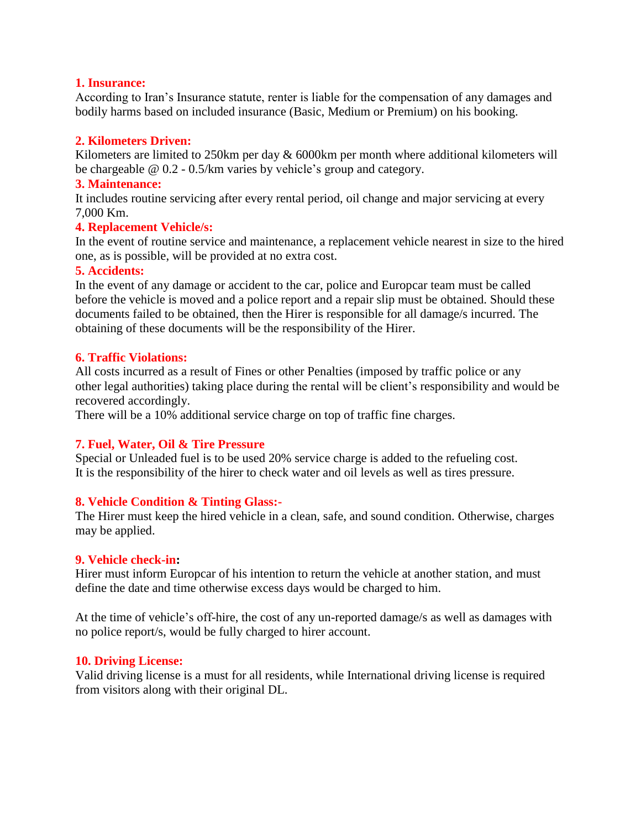# **1. Insurance:**

According to Iran's Insurance statute, renter is liable for the compensation of any damages and bodily harms based on included insurance (Basic, Medium or Premium) on his booking.

# **2. Kilometers Driven:**

Kilometers are limited to 250km per day & 6000km per month where additional kilometers will be chargeable @ 0.2 - 0.5/km varies by vehicle's group and category.

### **3. Maintenance:**

It includes routine servicing after every rental period, oil change and major servicing at every 7,000 Km.

# **4. Replacement Vehicle/s:**

In the event of routine service and maintenance, a replacement vehicle nearest in size to the hired one, as is possible, will be provided at no extra cost.

### **5. Accidents:**

In the event of any damage or accident to the car, police and Europcar team must be called before the vehicle is moved and a police report and a repair slip must be obtained. Should these documents failed to be obtained, then the Hirer is responsible for all damage/s incurred. The obtaining of these documents will be the responsibility of the Hirer.

### **6. Traffic Violations:**

All costs incurred as a result of Fines or other Penalties (imposed by traffic police or any other legal authorities) taking place during the rental will be client's responsibility and would be recovered accordingly.

There will be a 10% additional service charge on top of traffic fine charges.

# **7. Fuel, Water, Oil & Tire Pressure**

Special or Unleaded fuel is to be used 20% service charge is added to the refueling cost. It is the responsibility of the hirer to check water and oil levels as well as tires pressure.

# **8. Vehicle Condition & Tinting Glass:-**

The Hirer must keep the hired vehicle in a clean, safe, and sound condition. Otherwise, charges may be applied.

#### **9. Vehicle check-in:**

Hirer must inform Europcar of his intention to return the vehicle at another station, and must define the date and time otherwise excess days would be charged to him.

At the time of vehicle's off-hire, the cost of any un-reported damage/s as well as damages with no police report/s, would be fully charged to hirer account.

#### **10. Driving License:**

Valid driving license is a must for all residents, while International driving license is required from visitors along with their original DL.